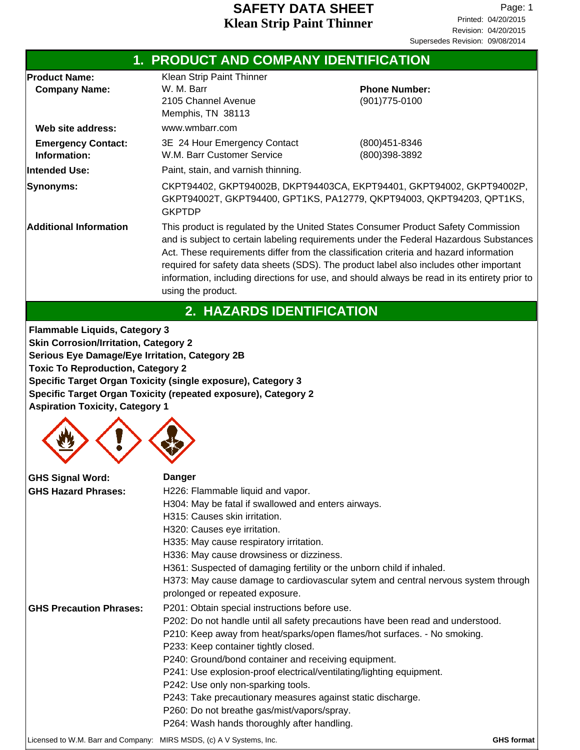|                                              | 1. PRODUCT AND COMPANY IDENTIFICATION                                               |                                                                                                                                                                                                                                                                                                                                                                                                                                                                  |
|----------------------------------------------|-------------------------------------------------------------------------------------|------------------------------------------------------------------------------------------------------------------------------------------------------------------------------------------------------------------------------------------------------------------------------------------------------------------------------------------------------------------------------------------------------------------------------------------------------------------|
| <b>Product Name:</b><br><b>Company Name:</b> | Klean Strip Paint Thinner<br>W. M. Barr<br>2105 Channel Avenue<br>Memphis, TN 38113 | <b>Phone Number:</b><br>$(901)775 - 0100$                                                                                                                                                                                                                                                                                                                                                                                                                        |
| Web site address:                            | www.wmbarr.com                                                                      |                                                                                                                                                                                                                                                                                                                                                                                                                                                                  |
| <b>Emergency Contact:</b><br>Information:    | 3E 24 Hour Emergency Contact<br>W.M. Barr Customer Service                          | (800)451-8346<br>(800)398-3892                                                                                                                                                                                                                                                                                                                                                                                                                                   |
| lintended Use:                               | Paint, stain, and varnish thinning.                                                 |                                                                                                                                                                                                                                                                                                                                                                                                                                                                  |
| Synonyms:                                    | <b>GKPTDP</b>                                                                       | CKPT94402, GKPT94002B, DKPT94403CA, EKPT94401, GKPT94002, GKPT94002P,<br>GKPT94002T, GKPT94400, GPT1KS, PA12779, QKPT94003, QKPT94203, QPT1KS,                                                                                                                                                                                                                                                                                                                   |
| <b>Additional Information</b>                | using the product.                                                                  | This product is regulated by the United States Consumer Product Safety Commission<br>and is subject to certain labeling requirements under the Federal Hazardous Substances<br>Act. These requirements differ from the classification criteria and hazard information<br>required for safety data sheets (SDS). The product label also includes other important<br>information, including directions for use, and should always be read in its entirety prior to |
|                                              | 2. HAZARDS IDENTIFICATION                                                           |                                                                                                                                                                                                                                                                                                                                                                                                                                                                  |

**Flammable Liquids, Category 3 Skin Corrosion/Irritation, Category 2 Serious Eye Damage/Eye Irritation, Category 2B Toxic To Reproduction, Category 2 Specific Target Organ Toxicity (single exposure), Category 3 Specific Target Organ Toxicity (repeated exposure), Category 2 Aspiration Toxicity, Category 1**



| <b>GHS Signal Word:</b>                                             | <b>Danger</b>                                                                     |                   |
|---------------------------------------------------------------------|-----------------------------------------------------------------------------------|-------------------|
| <b>GHS Hazard Phrases:</b>                                          | H226: Flammable liquid and vapor.                                                 |                   |
|                                                                     | H304: May be fatal if swallowed and enters airways.                               |                   |
|                                                                     | H315: Causes skin irritation.                                                     |                   |
|                                                                     | H320: Causes eye irritation.                                                      |                   |
|                                                                     | H335: May cause respiratory irritation.                                           |                   |
|                                                                     | H336: May cause drowsiness or dizziness.                                          |                   |
|                                                                     | H361: Suspected of damaging fertility or the unborn child if inhaled.             |                   |
|                                                                     | H373: May cause damage to cardiovascular sytem and central nervous system through |                   |
|                                                                     | prolonged or repeated exposure.                                                   |                   |
| <b>GHS Precaution Phrases:</b>                                      | P201: Obtain special instructions before use.                                     |                   |
|                                                                     | P202: Do not handle until all safety precautions have been read and understood.   |                   |
|                                                                     | P210: Keep away from heat/sparks/open flames/hot surfaces. - No smoking.          |                   |
|                                                                     | P233: Keep container tightly closed.                                              |                   |
|                                                                     | P240: Ground/bond container and receiving equipment.                              |                   |
|                                                                     | P241: Use explosion-proof electrical/ventilating/lighting equipment.              |                   |
|                                                                     | P242: Use only non-sparking tools.                                                |                   |
|                                                                     | P243: Take precautionary measures against static discharge.                       |                   |
|                                                                     | P260: Do not breathe gas/mist/vapors/spray.                                       |                   |
|                                                                     | P264: Wash hands thoroughly after handling.                                       |                   |
| Licensed to W.M. Barr and Company: MIRS MSDS, (c) A V Systems, Inc. |                                                                                   | <b>GHS format</b> |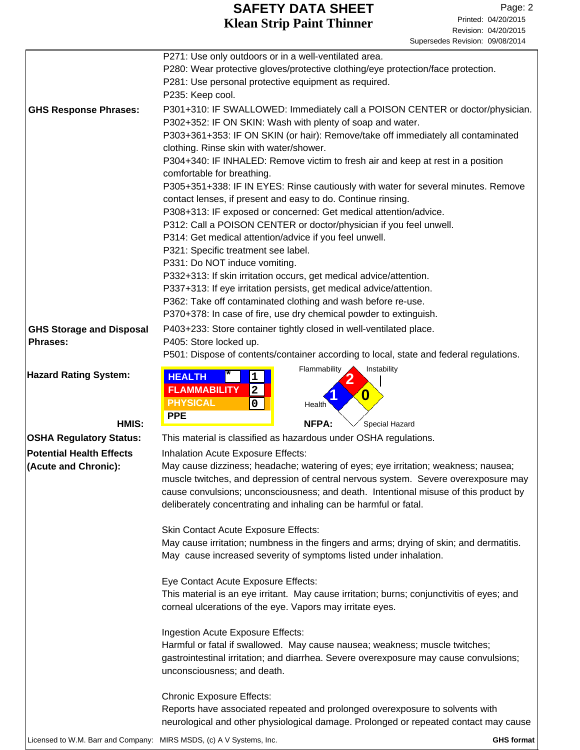|                                 | P271: Use only outdoors or in a well-ventilated area.<br>P280: Wear protective gloves/protective clothing/eye protection/face protection.<br>P281: Use personal protective equipment as required.<br>P235: Keep cool.                                                                                                                                        |
|---------------------------------|--------------------------------------------------------------------------------------------------------------------------------------------------------------------------------------------------------------------------------------------------------------------------------------------------------------------------------------------------------------|
| <b>GHS Response Phrases:</b>    | P301+310: IF SWALLOWED: Immediately call a POISON CENTER or doctor/physician.<br>P302+352: IF ON SKIN: Wash with plenty of soap and water.<br>P303+361+353: IF ON SKIN (or hair): Remove/take off immediately all contaminated<br>clothing. Rinse skin with water/shower.<br>P304+340: IF INHALED: Remove victim to fresh air and keep at rest in a position |
|                                 | comfortable for breathing.<br>P305+351+338: IF IN EYES: Rinse cautiously with water for several minutes. Remove<br>contact lenses, if present and easy to do. Continue rinsing.                                                                                                                                                                              |
|                                 | P308+313: IF exposed or concerned: Get medical attention/advice.                                                                                                                                                                                                                                                                                             |
|                                 | P312: Call a POISON CENTER or doctor/physician if you feel unwell.                                                                                                                                                                                                                                                                                           |
|                                 | P314: Get medical attention/advice if you feel unwell.                                                                                                                                                                                                                                                                                                       |
|                                 | P321: Specific treatment see label.                                                                                                                                                                                                                                                                                                                          |
|                                 | P331: Do NOT induce vomiting.<br>P332+313: If skin irritation occurs, get medical advice/attention.                                                                                                                                                                                                                                                          |
|                                 | P337+313: If eye irritation persists, get medical advice/attention.                                                                                                                                                                                                                                                                                          |
|                                 | P362: Take off contaminated clothing and wash before re-use.                                                                                                                                                                                                                                                                                                 |
|                                 | P370+378: In case of fire, use dry chemical powder to extinguish.                                                                                                                                                                                                                                                                                            |
| <b>GHS Storage and Disposal</b> | P403+233: Store container tightly closed in well-ventilated place.                                                                                                                                                                                                                                                                                           |
| <b>Phrases:</b>                 | P405: Store locked up.                                                                                                                                                                                                                                                                                                                                       |
|                                 | P501: Dispose of contents/container according to local, state and federal regulations.<br>Flammability<br>Instability                                                                                                                                                                                                                                        |
| <b>Hazard Rating System:</b>    | <b>HEALTH</b><br>1<br><b>FLAMMABILITY</b><br>$\mathbf{2}$<br>0<br><b>PHYSICAL</b><br>0<br>Health                                                                                                                                                                                                                                                             |
| HMIS:                           | <b>PPE</b><br>NFPA:<br>Special Hazard                                                                                                                                                                                                                                                                                                                        |
| <b>OSHA Regulatory Status:</b>  | This material is classified as hazardous under OSHA regulations.                                                                                                                                                                                                                                                                                             |
| <b>Potential Health Effects</b> | Inhalation Acute Exposure Effects:                                                                                                                                                                                                                                                                                                                           |
| (Acute and Chronic):            | May cause dizziness; headache; watering of eyes; eye irritation; weakness; nausea;<br>muscle twitches, and depression of central nervous system. Severe overexposure may<br>cause convulsions; unconsciousness; and death. Intentional misuse of this product by<br>deliberately concentrating and inhaling can be harmful or fatal.                         |
|                                 | <b>Skin Contact Acute Exposure Effects:</b>                                                                                                                                                                                                                                                                                                                  |
|                                 | May cause irritation; numbness in the fingers and arms; drying of skin; and dermatitis.                                                                                                                                                                                                                                                                      |
|                                 | May cause increased severity of symptoms listed under inhalation.                                                                                                                                                                                                                                                                                            |
|                                 | Eye Contact Acute Exposure Effects:                                                                                                                                                                                                                                                                                                                          |
|                                 | This material is an eye irritant. May cause irritation; burns; conjunctivitis of eyes; and                                                                                                                                                                                                                                                                   |
|                                 | corneal ulcerations of the eye. Vapors may irritate eyes.                                                                                                                                                                                                                                                                                                    |
|                                 | Ingestion Acute Exposure Effects:                                                                                                                                                                                                                                                                                                                            |
|                                 | Harmful or fatal if swallowed. May cause nausea; weakness; muscle twitches;<br>gastrointestinal irritation; and diarrhea. Severe overexposure may cause convulsions;                                                                                                                                                                                         |
|                                 | unconsciousness; and death.                                                                                                                                                                                                                                                                                                                                  |
|                                 | <b>Chronic Exposure Effects:</b>                                                                                                                                                                                                                                                                                                                             |
|                                 | Reports have associated repeated and prolonged overexposure to solvents with<br>neurological and other physiological damage. Prolonged or repeated contact may cause                                                                                                                                                                                         |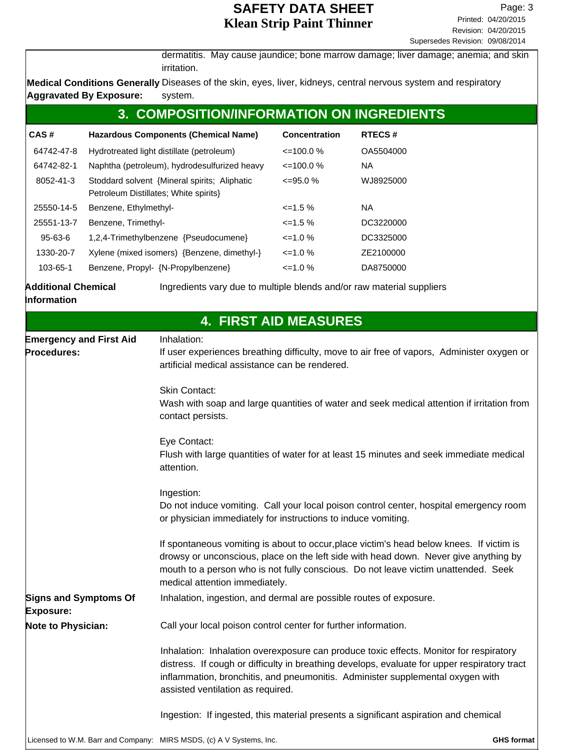dermatitis. May cause jaundice; bone marrow damage; liver damage; anemia; and skin irritation.

Medical Conditions Generally Diseases of the skin, eyes, liver, kidneys, central nervous system and respiratory system. **Aggravated By Exposure:**

| 3. COMPOSITION/INFORMATION ON INGREDIENTS |                                                                                       |                      |               |
|-------------------------------------------|---------------------------------------------------------------------------------------|----------------------|---------------|
| CAS#                                      | <b>Hazardous Components (Chemical Name)</b>                                           | <b>Concentration</b> | <b>RTECS#</b> |
| 64742-47-8                                | Hydrotreated light distillate (petroleum)                                             | $\leq$ 100.0 %       | OA5504000     |
| 64742-82-1                                | Naphtha (petroleum), hydrodesulfurized heavy                                          | $\leq$ 100.0 %       | NA.           |
| 8052-41-3                                 | Stoddard solvent {Mineral spirits; Aliphatic<br>Petroleum Distillates; White spirits} | $\leq$ =95.0 %       | WJ8925000     |
| 25550-14-5                                | Benzene, Ethylmethyl-                                                                 | $\leq$ 1.5 %         | NA.           |
| 25551-13-7                                | Benzene, Trimethyl-                                                                   | $\leq$ 1.5 %         | DC3220000     |
| $95 - 63 - 6$                             | 1,2,4-Trimethylbenzene {Pseudocumene}                                                 | $\leq$ 1.0 %         | DC3325000     |
| 1330-20-7                                 | Xylene (mixed isomers) {Benzene, dimethyl-}                                           | $\leq$ 1.0 %         | ZE2100000     |
| 103-65-1                                  | Benzene, Propyl- {N-Propylbenzene}                                                    | $\leq$ 1.0 %         | DA8750000     |

**Information**

**Additional Chemical** Ingredients vary due to multiple blends and/or raw material suppliers

|                                                                     | <b>4. FIRST AID MEASURES</b>                                                                                                                                                                                                                                                                                  |                   |
|---------------------------------------------------------------------|---------------------------------------------------------------------------------------------------------------------------------------------------------------------------------------------------------------------------------------------------------------------------------------------------------------|-------------------|
| <b>Emergency and First Aid</b><br>Procedures:                       | Inhalation:<br>If user experiences breathing difficulty, move to air free of vapors, Administer oxygen or<br>artificial medical assistance can be rendered.                                                                                                                                                   |                   |
|                                                                     | <b>Skin Contact:</b><br>Wash with soap and large quantities of water and seek medical attention if irritation from<br>contact persists.                                                                                                                                                                       |                   |
|                                                                     | Eye Contact:<br>Flush with large quantities of water for at least 15 minutes and seek immediate medical<br>attention.                                                                                                                                                                                         |                   |
|                                                                     | Ingestion:<br>Do not induce vomiting. Call your local poison control center, hospital emergency room<br>or physician immediately for instructions to induce vomiting.                                                                                                                                         |                   |
|                                                                     | If spontaneous vomiting is about to occur, place victim's head below knees. If victim is<br>drowsy or unconscious, place on the left side with head down. Never give anything by<br>mouth to a person who is not fully conscious. Do not leave victim unattended. Seek<br>medical attention immediately.      |                   |
| <b>Signs and Symptoms Of</b><br><b>Exposure:</b>                    | Inhalation, ingestion, and dermal are possible routes of exposure.                                                                                                                                                                                                                                            |                   |
| <b>Note to Physician:</b>                                           | Call your local poison control center for further information.                                                                                                                                                                                                                                                |                   |
|                                                                     | Inhalation: Inhalation overexposure can produce toxic effects. Monitor for respiratory<br>distress. If cough or difficulty in breathing develops, evaluate for upper respiratory tract<br>inflammation, bronchitis, and pneumonitis. Administer supplemental oxygen with<br>assisted ventilation as required. |                   |
|                                                                     | Ingestion: If ingested, this material presents a significant aspiration and chemical                                                                                                                                                                                                                          |                   |
| Licensed to W.M. Barr and Company: MIRS MSDS, (c) A V Systems, Inc. |                                                                                                                                                                                                                                                                                                               | <b>GHS format</b> |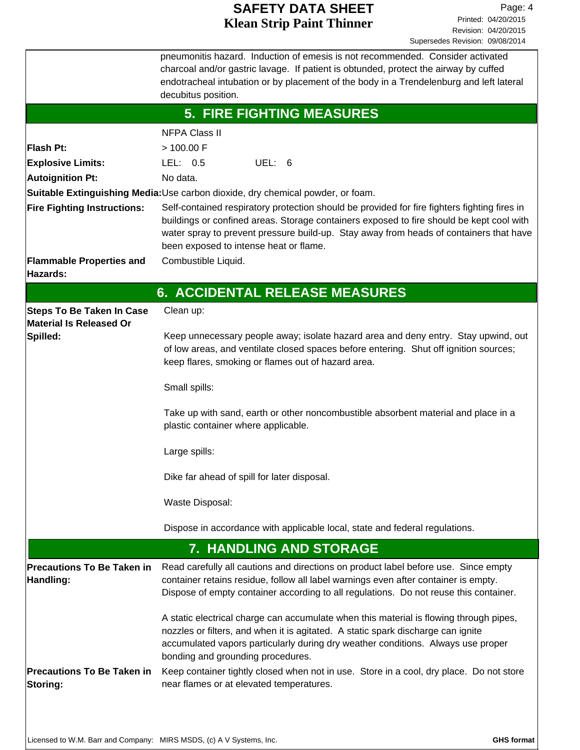|                                                                    | pneumonitis hazard. Induction of emesis is not recommended. Consider activated<br>charcoal and/or gastric lavage. If patient is obtunded, protect the airway by cuffed<br>endotracheal intubation or by placement of the body in a Trendelenburg and left lateral<br>decubitus position.                                     |  |  |
|--------------------------------------------------------------------|------------------------------------------------------------------------------------------------------------------------------------------------------------------------------------------------------------------------------------------------------------------------------------------------------------------------------|--|--|
|                                                                    | <b>5. FIRE FIGHTING MEASURES</b>                                                                                                                                                                                                                                                                                             |  |  |
|                                                                    | <b>NFPA Class II</b>                                                                                                                                                                                                                                                                                                         |  |  |
| Flash Pt:                                                          | > 100.00 F                                                                                                                                                                                                                                                                                                                   |  |  |
| <b>Explosive Limits:</b>                                           | UEL: 6<br>LEL: 0.5                                                                                                                                                                                                                                                                                                           |  |  |
| <b>Autoignition Pt:</b>                                            | No data.                                                                                                                                                                                                                                                                                                                     |  |  |
|                                                                    | Suitable Extinguishing Media:Use carbon dioxide, dry chemical powder, or foam.                                                                                                                                                                                                                                               |  |  |
| <b>Fire Fighting Instructions:</b>                                 | Self-contained respiratory protection should be provided for fire fighters fighting fires in<br>buildings or confined areas. Storage containers exposed to fire should be kept cool with<br>water spray to prevent pressure build-up. Stay away from heads of containers that have<br>been exposed to intense heat or flame. |  |  |
| <b>Flammable Properties and</b><br>Hazards:                        | Combustible Liquid.                                                                                                                                                                                                                                                                                                          |  |  |
|                                                                    | 6. ACCIDENTAL RELEASE MEASURES                                                                                                                                                                                                                                                                                               |  |  |
| <b>Steps To Be Taken In Case</b><br><b>Material Is Released Or</b> | Clean up:                                                                                                                                                                                                                                                                                                                    |  |  |
| Spilled:                                                           | Keep unnecessary people away; isolate hazard area and deny entry. Stay upwind, out<br>of low areas, and ventilate closed spaces before entering. Shut off ignition sources;<br>keep flares, smoking or flames out of hazard area.                                                                                            |  |  |
|                                                                    | Small spills:                                                                                                                                                                                                                                                                                                                |  |  |
|                                                                    | Take up with sand, earth or other noncombustible absorbent material and place in a<br>plastic container where applicable.                                                                                                                                                                                                    |  |  |
|                                                                    | Large spills:                                                                                                                                                                                                                                                                                                                |  |  |
|                                                                    | Dike far ahead of spill for later disposal.                                                                                                                                                                                                                                                                                  |  |  |
|                                                                    | Waste Disposal:                                                                                                                                                                                                                                                                                                              |  |  |
|                                                                    | Dispose in accordance with applicable local, state and federal regulations.                                                                                                                                                                                                                                                  |  |  |
|                                                                    | 7. HANDLING AND STORAGE                                                                                                                                                                                                                                                                                                      |  |  |
| <b>Precautions To Be Taken in</b><br>Handling:                     | Read carefully all cautions and directions on product label before use. Since empty<br>container retains residue, follow all label warnings even after container is empty.<br>Dispose of empty container according to all regulations. Do not reuse this container.                                                          |  |  |
|                                                                    | A static electrical charge can accumulate when this material is flowing through pipes,<br>nozzles or filters, and when it is agitated. A static spark discharge can ignite<br>accumulated vapors particularly during dry weather conditions. Always use proper<br>bonding and grounding procedures.                          |  |  |
| <b>Precautions To Be Taken in</b><br><b>Storing:</b>               | Keep container tightly closed when not in use. Store in a cool, dry place. Do not store<br>near flames or at elevated temperatures.                                                                                                                                                                                          |  |  |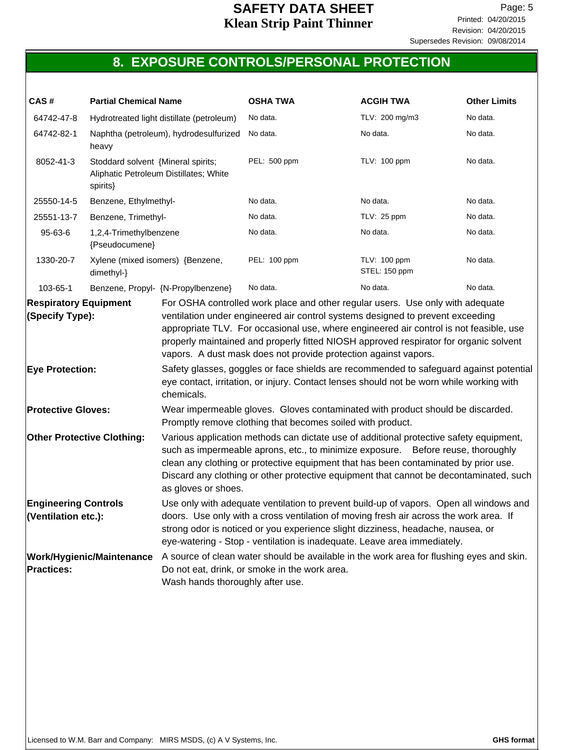# **8. EXPOSURE CONTROLS/PERSONAL PROTECTION**

| CAS#                                      | <b>Partial Chemical Name</b>                                                             |                                        | <b>OSHA TWA</b>                                                                                                                                                                                                                                                                                                                                                                                                                                                                                                            | <b>ACGIH TWA</b>              | <b>Other Limits</b> |
|-------------------------------------------|------------------------------------------------------------------------------------------|----------------------------------------|----------------------------------------------------------------------------------------------------------------------------------------------------------------------------------------------------------------------------------------------------------------------------------------------------------------------------------------------------------------------------------------------------------------------------------------------------------------------------------------------------------------------------|-------------------------------|---------------------|
| 64742-47-8                                | Hydrotreated light distillate (petroleum)                                                |                                        | No data.                                                                                                                                                                                                                                                                                                                                                                                                                                                                                                                   | TLV: 200 mg/m3                | No data.            |
| 64742-82-1                                | heavy                                                                                    | Naphtha (petroleum), hydrodesulfurized | No data.                                                                                                                                                                                                                                                                                                                                                                                                                                                                                                                   | No data.                      | No data.            |
| 8052-41-3                                 | Stoddard solvent {Mineral spirits;<br>Aliphatic Petroleum Distillates; White<br>spirits} |                                        | PEL: 500 ppm                                                                                                                                                                                                                                                                                                                                                                                                                                                                                                               | TLV: 100 ppm                  | No data.            |
| 25550-14-5                                | Benzene, Ethylmethyl-                                                                    |                                        | No data.                                                                                                                                                                                                                                                                                                                                                                                                                                                                                                                   | No data.                      | No data.            |
| 25551-13-7                                | Benzene, Trimethyl-                                                                      |                                        | No data.                                                                                                                                                                                                                                                                                                                                                                                                                                                                                                                   | TLV: 25 ppm                   | No data.            |
| 95-63-6                                   | 1,2,4-Trimethylbenzene<br>{Pseudocumene}                                                 |                                        | No data.                                                                                                                                                                                                                                                                                                                                                                                                                                                                                                                   | No data.                      | No data.            |
| 1330-20-7                                 | Xylene (mixed isomers) {Benzene,<br>dimethyl-}                                           |                                        | PEL: 100 ppm                                                                                                                                                                                                                                                                                                                                                                                                                                                                                                               | TLV: 100 ppm<br>STEL: 150 ppm | No data.            |
| 103-65-1                                  |                                                                                          | Benzene, Propyl- {N-Propylbenzene}     | No data.                                                                                                                                                                                                                                                                                                                                                                                                                                                                                                                   | No data.                      | No data.            |
| (Specify Type):<br><b>Eye Protection:</b> |                                                                                          | chemicals.                             | ventilation under engineered air control systems designed to prevent exceeding<br>appropriate TLV. For occasional use, where engineered air control is not feasible, use<br>properly maintained and properly fitted NIOSH approved respirator for organic solvent<br>vapors. A dust mask does not provide protection against vapors.<br>Safety glasses, goggles or face shields are recommended to safeguard against potential<br>eye contact, irritation, or injury. Contact lenses should not be worn while working with |                               |                     |
| <b>Protective Gloves:</b>                 |                                                                                          |                                        | Wear impermeable gloves. Gloves contaminated with product should be discarded.<br>Promptly remove clothing that becomes soiled with product.                                                                                                                                                                                                                                                                                                                                                                               |                               |                     |
|                                           | <b>Other Protective Clothing:</b>                                                        | as gloves or shoes.                    | Various application methods can dictate use of additional protective safety equipment,<br>such as impermeable aprons, etc., to minimize exposure.  Before reuse, thoroughly<br>clean any clothing or protective equipment that has been contaminated by prior use.<br>Discard any clothing or other protective equipment that cannot be decontaminated, such                                                                                                                                                               |                               |                     |
| (Ventilation etc.):                       | <b>Engineering Controls</b>                                                              |                                        | Use only with adequate ventilation to prevent build-up of vapors. Open all windows and<br>doors. Use only with a cross ventilation of moving fresh air across the work area. If<br>strong odor is noticed or you experience slight dizziness, headache, nausea, or<br>eye-watering - Stop - ventilation is inadequate. Leave area immediately.                                                                                                                                                                             |                               |                     |
| <b>Practices:</b>                         | <b>Work/Hygienic/Maintenance</b>                                                         | Wash hands thoroughly after use.       | A source of clean water should be available in the work area for flushing eyes and skin.<br>Do not eat, drink, or smoke in the work area.                                                                                                                                                                                                                                                                                                                                                                                  |                               |                     |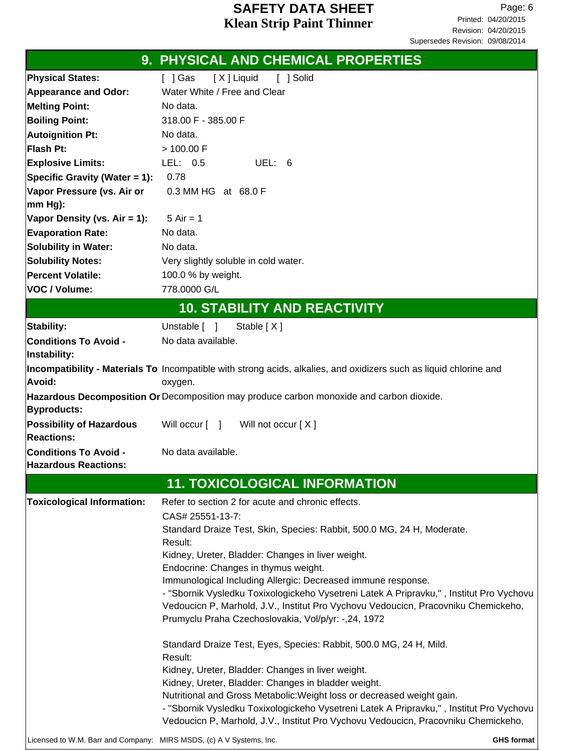|                                                                     | 9. PHYSICAL AND CHEMICAL PROPERTIES                                                                                                                                           |
|---------------------------------------------------------------------|-------------------------------------------------------------------------------------------------------------------------------------------------------------------------------|
| <b>Physical States:</b>                                             | [X] Liquid<br>[ ] Solid<br>[ ] Gas                                                                                                                                            |
| <b>Appearance and Odor:</b>                                         | Water White / Free and Clear                                                                                                                                                  |
| <b>Melting Point:</b>                                               | No data.                                                                                                                                                                      |
| <b>Boiling Point:</b>                                               | 318.00 F - 385.00 F                                                                                                                                                           |
| <b>Autoignition Pt:</b>                                             | No data.                                                                                                                                                                      |
| Flash Pt:                                                           | > 100.00 F                                                                                                                                                                    |
| <b>Explosive Limits:</b>                                            | LEL: 0.5<br>UEL: 6                                                                                                                                                            |
| Specific Gravity (Water = 1):                                       | 0.78                                                                                                                                                                          |
| Vapor Pressure (vs. Air or                                          | 0.3 MM HG at 68.0 F                                                                                                                                                           |
| mm Hg):                                                             |                                                                                                                                                                               |
| Vapor Density (vs. Air = 1):                                        | $5$ Air = 1                                                                                                                                                                   |
| <b>Evaporation Rate:</b>                                            | No data.                                                                                                                                                                      |
| <b>Solubility in Water:</b>                                         | No data.                                                                                                                                                                      |
| <b>Solubility Notes:</b>                                            | Very slightly soluble in cold water.                                                                                                                                          |
| Percent Volatile:                                                   | 100.0 % by weight.                                                                                                                                                            |
| VOC / Volume:                                                       | 778.0000 G/L                                                                                                                                                                  |
|                                                                     |                                                                                                                                                                               |
|                                                                     | <b>10. STABILITY AND REACTIVITY</b>                                                                                                                                           |
| Stability:                                                          | Unstable $\lceil \quad \rceil$<br>Stable $[X]$                                                                                                                                |
| <b>Conditions To Avoid -</b><br>Instability:                        | No data available.                                                                                                                                                            |
| Avoid:                                                              | Incompatibility - Materials To Incompatible with strong acids, alkalies, and oxidizers such as liquid chlorine and<br>oxygen.                                                 |
| <b>Byproducts:</b>                                                  | Hazardous Decomposition Or Decomposition may produce carbon monoxide and carbon dioxide.                                                                                      |
| <b>Possibility of Hazardous</b><br><b>Reactions:</b>                | Will occur [ ] Will not occur [X]                                                                                                                                             |
| <b>Conditions To Avoid -</b><br><b>Hazardous Reactions:</b>         | No data available.                                                                                                                                                            |
|                                                                     | <b>11. TOXICOLOGICAL INFORMATION</b>                                                                                                                                          |
| <b>Toxicological Information:</b>                                   | Refer to section 2 for acute and chronic effects.                                                                                                                             |
|                                                                     | CAS# 25551-13-7:                                                                                                                                                              |
|                                                                     | Standard Draize Test, Skin, Species: Rabbit, 500.0 MG, 24 H, Moderate.                                                                                                        |
|                                                                     | Result:                                                                                                                                                                       |
|                                                                     | Kidney, Ureter, Bladder: Changes in liver weight.                                                                                                                             |
|                                                                     | Endocrine: Changes in thymus weight.                                                                                                                                          |
|                                                                     | Immunological Including Allergic: Decreased immune response.                                                                                                                  |
|                                                                     | - "Sbornik Vysledku Toxixologickeho Vysetreni Latek A Pripravku,", Institut Pro Vychovu                                                                                       |
|                                                                     | Vedoucicn P, Marhold, J.V., Institut Pro Vychovu Vedoucicn, Pracovniku Chemickeho,<br>Prumyclu Praha Czechoslovakia, Vol/p/yr: -,24, 1972                                     |
|                                                                     | Standard Draize Test, Eyes, Species: Rabbit, 500.0 MG, 24 H, Mild.<br>Result:                                                                                                 |
|                                                                     | Kidney, Ureter, Bladder: Changes in liver weight.                                                                                                                             |
|                                                                     | Kidney, Ureter, Bladder: Changes in bladder weight.                                                                                                                           |
|                                                                     | Nutritional and Gross Metabolic: Weight loss or decreased weight gain.                                                                                                        |
|                                                                     | - "Sbornik Vysledku Toxixologickeho Vysetreni Latek A Pripravku,", Institut Pro Vychovu<br>Vedoucicn P, Marhold, J.V., Institut Pro Vychovu Vedoucicn, Pracovniku Chemickeho, |
| Licensed to W.M. Barr and Company: MIRS MSDS, (c) A V Systems, Inc. | GHS format                                                                                                                                                                    |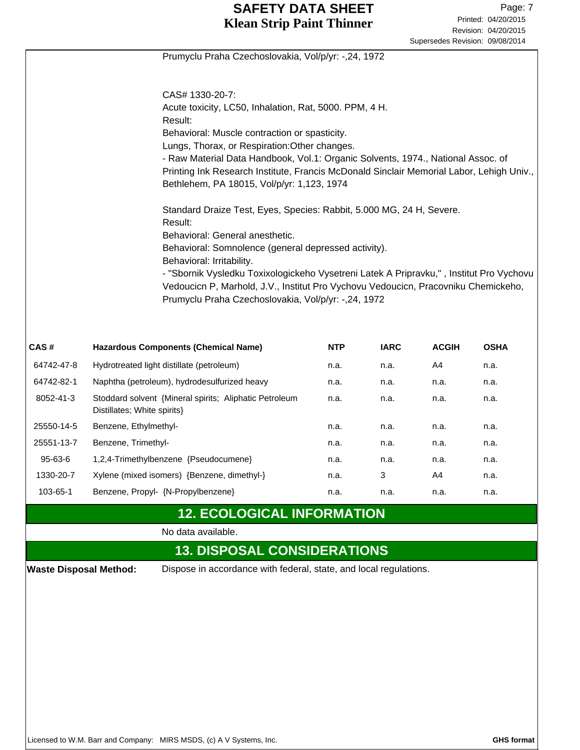|                               |                                                                                                                                        |            |             | Supersedes Revision: 09/08/2014 |             |
|-------------------------------|----------------------------------------------------------------------------------------------------------------------------------------|------------|-------------|---------------------------------|-------------|
|                               | Prumyclu Praha Czechoslovakia, Vol/p/yr: -,24, 1972                                                                                    |            |             |                                 |             |
|                               |                                                                                                                                        |            |             |                                 |             |
|                               | CAS# 1330-20-7:                                                                                                                        |            |             |                                 |             |
|                               | Acute toxicity, LC50, Inhalation, Rat, 5000. PPM, 4 H.                                                                                 |            |             |                                 |             |
|                               | Result:<br>Behavioral: Muscle contraction or spasticity.                                                                               |            |             |                                 |             |
|                               | Lungs, Thorax, or Respiration: Other changes.                                                                                          |            |             |                                 |             |
|                               | - Raw Material Data Handbook, Vol.1: Organic Solvents, 1974., National Assoc. of                                                       |            |             |                                 |             |
|                               | Printing Ink Research Institute, Francis McDonald Sinclair Memorial Labor, Lehigh Univ.,<br>Bethlehem, PA 18015, Vol/p/yr: 1,123, 1974 |            |             |                                 |             |
|                               | Standard Draize Test, Eyes, Species: Rabbit, 5.000 MG, 24 H, Severe.<br>Result:                                                        |            |             |                                 |             |
|                               | Behavioral: General anesthetic.<br>Behavioral: Somnolence (general depressed activity).                                                |            |             |                                 |             |
|                               | Behavioral: Irritability.                                                                                                              |            |             |                                 |             |
|                               | - "Sbornik Vysledku Toxixologickeho Vysetreni Latek A Pripravku,", Institut Pro Vychovu                                                |            |             |                                 |             |
|                               | Vedoucicn P, Marhold, J.V., Institut Pro Vychovu Vedoucicn, Pracovniku Chemickeho,                                                     |            |             |                                 |             |
|                               | Prumyclu Praha Czechoslovakia, Vol/p/yr: -,24, 1972                                                                                    |            |             |                                 |             |
|                               |                                                                                                                                        |            |             |                                 |             |
| CAS#                          | <b>Hazardous Components (Chemical Name)</b>                                                                                            | <b>NTP</b> | <b>IARC</b> | <b>ACGIH</b>                    | <b>OSHA</b> |
| 64742-47-8                    | Hydrotreated light distillate (petroleum)                                                                                              | n.a.       | n.a.        | A4                              | n.a.        |
| 64742-82-1                    | Naphtha (petroleum), hydrodesulfurized heavy                                                                                           | n.a.       | n.a.        | n.a.                            | n.a.        |
| 8052-41-3                     | Stoddard solvent {Mineral spirits; Aliphatic Petroleum<br>Distillates; White spirits}                                                  | n.a.       | n.a.        | n.a.                            | n.a.        |
| 25550-14-5                    | Benzene, Ethylmethyl-                                                                                                                  | n.a.       | n.a.        | n.a.                            | n.a.        |
| 25551-13-7                    | Benzene, Trimethyl-                                                                                                                    | n.a.       | n.a.        | n.a.                            | n.a.        |
| 95-63-6                       | 1,2,4-Trimethylbenzene {Pseudocumene}                                                                                                  | n.a.       | n.a.        | n.a.                            | n.a.        |
| 1330-20-7                     | Xylene (mixed isomers) {Benzene, dimethyl-}                                                                                            | n.a.       | 3           | A4                              | n.a.        |
| 103-65-1                      | Benzene, Propyl- {N-Propylbenzene}                                                                                                     | n.a.       | n.a.        | n.a.                            | n.a.        |
|                               | <b>12. ECOLOGICAL INFORMATION</b>                                                                                                      |            |             |                                 |             |
|                               | No data available.                                                                                                                     |            |             |                                 |             |
|                               | <b>13. DISPOSAL CONSIDERATIONS</b>                                                                                                     |            |             |                                 |             |
| <b>Waste Disposal Method:</b> | Dispose in accordance with federal, state, and local regulations.                                                                      |            |             |                                 |             |
|                               |                                                                                                                                        |            |             |                                 |             |
|                               |                                                                                                                                        |            |             |                                 |             |
|                               |                                                                                                                                        |            |             |                                 |             |
|                               |                                                                                                                                        |            |             |                                 |             |
|                               |                                                                                                                                        |            |             |                                 |             |
|                               |                                                                                                                                        |            |             |                                 |             |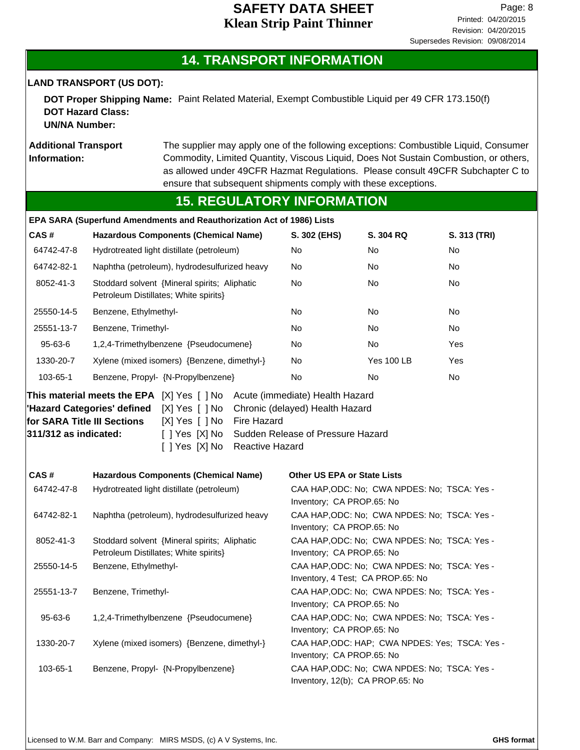#### **14. TRANSPORT INFORMATION**

**LAND TRANSPORT (US DOT):**

**DOT Proper Shipping Name:** Paint Related Material, Exempt Combustible Liquid per 49 CFR 173.150(f) **DOT Hazard Class: UN/NA Number:**

**Additional Transport Information:**

The supplier may apply one of the following exceptions: Combustible Liquid, Consumer Commodity, Limited Quantity, Viscous Liquid, Does Not Sustain Combustion, or others, as allowed under 49CFR Hazmat Regulations. Please consult 49CFR Subchapter C to ensure that subsequent shipments comply with these exceptions.

#### **15. REGULATORY INFORMATION**

|                                  | EPA SARA (Superfund Amendments and Reauthorization Act of 1986) Lists                              |                                                                         |                                                                                   |                                                |  |
|----------------------------------|----------------------------------------------------------------------------------------------------|-------------------------------------------------------------------------|-----------------------------------------------------------------------------------|------------------------------------------------|--|
| CAS #                            | <b>Hazardous Components (Chemical Name)</b>                                                        | S. 302 (EHS)                                                            | <b>S. 304 RQ</b>                                                                  | S. 313 (TRI)                                   |  |
| 64742-47-8                       | Hydrotreated light distillate (petroleum)                                                          | No                                                                      | No                                                                                | No                                             |  |
| 64742-82-1                       | Naphtha (petroleum), hydrodesulfurized heavy                                                       | No.                                                                     | No                                                                                | No                                             |  |
| 8052-41-3                        | Stoddard solvent {Mineral spirits; Aliphatic<br>Petroleum Distillates; White spirits}              | <b>No</b>                                                               | No.                                                                               | No                                             |  |
| 25550-14-5                       | Benzene, Ethylmethyl-                                                                              | No                                                                      | No                                                                                | No                                             |  |
| 25551-13-7                       | Benzene, Trimethyl-                                                                                | No                                                                      | No                                                                                | <b>No</b>                                      |  |
| 95-63-6                          | 1,2,4-Trimethylbenzene {Pseudocumene}                                                              | No                                                                      | No                                                                                | Yes                                            |  |
| 1330-20-7                        | Xylene (mixed isomers) {Benzene, dimethyl-}                                                        | No                                                                      | <b>Yes 100 LB</b>                                                                 | Yes                                            |  |
| 103-65-1                         | Benzene, Propyl- {N-Propylbenzene}                                                                 | No                                                                      | No                                                                                | No                                             |  |
| $ 311/312$ as indicated:<br>CAS# | [ ] Yes [X] No<br>[ ] Yes [X] No<br>Reactive Hazard<br><b>Hazardous Components (Chemical Name)</b> | Sudden Release of Pressure Hazard<br><b>Other US EPA or State Lists</b> |                                                                                   |                                                |  |
| 64742-47-8                       | Hydrotreated light distillate (petroleum)                                                          |                                                                         | CAA HAP, ODC: No; CWA NPDES: No; TSCA: Yes -                                      |                                                |  |
|                                  |                                                                                                    | Inventory; CA PROP.65: No                                               |                                                                                   |                                                |  |
| 64742-82-1                       | Naphtha (petroleum), hydrodesulfurized heavy                                                       |                                                                         | CAA HAP, ODC: No; CWA NPDES: No; TSCA: Yes -<br>Inventory; CA PROP.65: No         |                                                |  |
| 8052-41-3                        | Stoddard solvent {Mineral spirits; Aliphatic<br>Petroleum Distillates; White spirits}              |                                                                         | CAA HAP, ODC: No; CWA NPDES: No; TSCA: Yes -<br>Inventory; CA PROP.65: No         |                                                |  |
| 25550-14-5                       | Benzene, Ethylmethyl-                                                                              |                                                                         | CAA HAP, ODC: No; CWA NPDES: No; TSCA: Yes -<br>Inventory, 4 Test; CA PROP.65: No |                                                |  |
| 25551-13-7                       | Benzene, Trimethyl-                                                                                | Inventory; CA PROP.65: No                                               | CAA HAP, ODC: No; CWA NPDES: No; TSCA: Yes -                                      |                                                |  |
| 95-63-6                          | 1,2,4-Trimethylbenzene {Pseudocumene}                                                              | Inventory; CA PROP.65: No                                               | CAA HAP, ODC: No; CWA NPDES: No; TSCA: Yes -                                      |                                                |  |
| 1330-20-7                        | Xylene (mixed isomers) {Benzene, dimethyl-}                                                        | Inventory; CA PROP.65: No                                               |                                                                                   | CAA HAP, ODC: HAP; CWA NPDES: Yes; TSCA: Yes - |  |
| 103-65-1                         | Benzene, Propyl- {N-Propylbenzene}                                                                 |                                                                         | CAA HAP, ODC: No; CWA NPDES: No; TSCA: Yes -<br>Inventory, 12(b); CA PROP.65: No  |                                                |  |